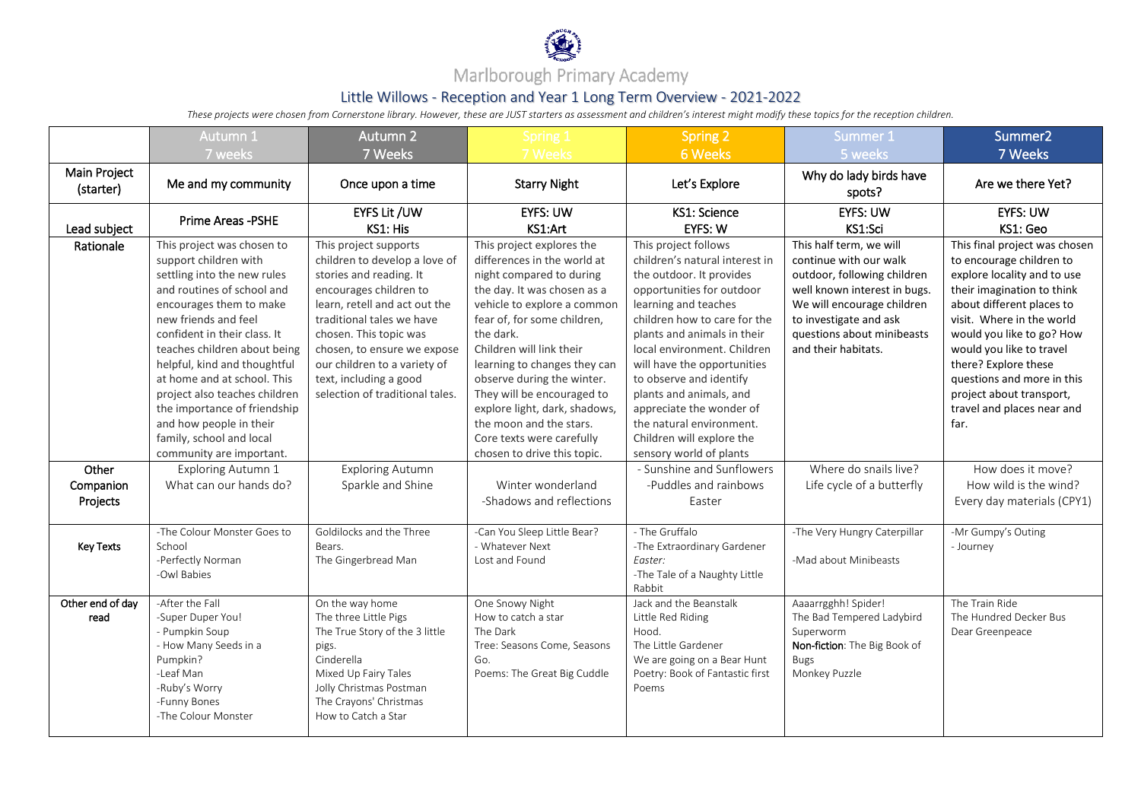

## Marlborough Primary Academy

## Little Willows - Reception and Year 1 Long Term Overview - 2021-2022

*These projects were chosen from Cornerstone library. However, these are JUST starters as assessment and children's interest might modify these topics for the reception children.*

|                                | Autumn 1                                                                                                                                                                                                                                                                                                                                                                                                                                               | Autumn 2                                                                                                                                                                                                                                                                                                                        | Spring 1                                                                                                                                                                                                                                                                                                                                                                                                                                       | <b>Spring 2</b>                                                                                                                                                                                                                                                                                                                                                                                                                            | Summer 1                                                                                                                                                                                                                      | Summer <sub>2</sub>                                                                                                                                                                                                                                                                                                                                               |
|--------------------------------|--------------------------------------------------------------------------------------------------------------------------------------------------------------------------------------------------------------------------------------------------------------------------------------------------------------------------------------------------------------------------------------------------------------------------------------------------------|---------------------------------------------------------------------------------------------------------------------------------------------------------------------------------------------------------------------------------------------------------------------------------------------------------------------------------|------------------------------------------------------------------------------------------------------------------------------------------------------------------------------------------------------------------------------------------------------------------------------------------------------------------------------------------------------------------------------------------------------------------------------------------------|--------------------------------------------------------------------------------------------------------------------------------------------------------------------------------------------------------------------------------------------------------------------------------------------------------------------------------------------------------------------------------------------------------------------------------------------|-------------------------------------------------------------------------------------------------------------------------------------------------------------------------------------------------------------------------------|-------------------------------------------------------------------------------------------------------------------------------------------------------------------------------------------------------------------------------------------------------------------------------------------------------------------------------------------------------------------|
|                                | 7 weeks                                                                                                                                                                                                                                                                                                                                                                                                                                                | 7 Weeks                                                                                                                                                                                                                                                                                                                         | 7 Weeks                                                                                                                                                                                                                                                                                                                                                                                                                                        | 6 Weeks                                                                                                                                                                                                                                                                                                                                                                                                                                    | 5 weeks                                                                                                                                                                                                                       | 7 Weeks                                                                                                                                                                                                                                                                                                                                                           |
| Main Project<br>(starter)      | Me and my community                                                                                                                                                                                                                                                                                                                                                                                                                                    | Once upon a time                                                                                                                                                                                                                                                                                                                | <b>Starry Night</b>                                                                                                                                                                                                                                                                                                                                                                                                                            | Let's Explore                                                                                                                                                                                                                                                                                                                                                                                                                              | Why do lady birds have<br>spots?                                                                                                                                                                                              | Are we there Yet?                                                                                                                                                                                                                                                                                                                                                 |
| Lead subject                   | Prime Areas -PSHE                                                                                                                                                                                                                                                                                                                                                                                                                                      | EYFS Lit /UW<br>KS1: His                                                                                                                                                                                                                                                                                                        | <b>EYFS: UW</b><br>KS1:Art                                                                                                                                                                                                                                                                                                                                                                                                                     | KS1: Science<br>EYFS: W                                                                                                                                                                                                                                                                                                                                                                                                                    | <b>EYFS: UW</b><br>KS1:Sci                                                                                                                                                                                                    | <b>EYFS: UW</b><br>KS1: Geo                                                                                                                                                                                                                                                                                                                                       |
| Rationale                      | This project was chosen to<br>support children with<br>settling into the new rules<br>and routines of school and<br>encourages them to make<br>new friends and feel<br>confident in their class. It<br>teaches children about being<br>helpful, kind and thoughtful<br>at home and at school. This<br>project also teaches children<br>the importance of friendship<br>and how people in their<br>family, school and local<br>community are important. | This project supports<br>children to develop a love of<br>stories and reading. It<br>encourages children to<br>learn, retell and act out the<br>traditional tales we have<br>chosen. This topic was<br>chosen, to ensure we expose<br>our children to a variety of<br>text, including a good<br>selection of traditional tales. | This project explores the<br>differences in the world at<br>night compared to during<br>the day. It was chosen as a<br>vehicle to explore a common<br>fear of, for some children,<br>the dark.<br>Children will link their<br>learning to changes they can<br>observe during the winter.<br>They will be encouraged to<br>explore light, dark, shadows,<br>the moon and the stars.<br>Core texts were carefully<br>chosen to drive this topic. | This project follows<br>children's natural interest in<br>the outdoor. It provides<br>opportunities for outdoor<br>learning and teaches<br>children how to care for the<br>plants and animals in their<br>local environment. Children<br>will have the opportunities<br>to observe and identify<br>plants and animals, and<br>appreciate the wonder of<br>the natural environment.<br>Children will explore the<br>sensory world of plants | This half term, we will<br>continue with our walk<br>outdoor, following children<br>well known interest in bugs.<br>We will encourage children<br>to investigate and ask<br>questions about minibeasts<br>and their habitats. | This final project was chosen<br>to encourage children to<br>explore locality and to use<br>their imagination to think<br>about different places to<br>visit. Where in the world<br>would you like to go? How<br>would you like to travel<br>there? Explore these<br>questions and more in this<br>project about transport,<br>travel and places near and<br>far. |
| Other<br>Companion<br>Projects | Exploring Autumn 1<br>What can our hands do?                                                                                                                                                                                                                                                                                                                                                                                                           | <b>Exploring Autumn</b><br>Sparkle and Shine                                                                                                                                                                                                                                                                                    | Winter wonderland<br>-Shadows and reflections                                                                                                                                                                                                                                                                                                                                                                                                  | - Sunshine and Sunflowers<br>-Puddles and rainbows<br>Easter                                                                                                                                                                                                                                                                                                                                                                               | Where do snails live?<br>Life cycle of a butterfly                                                                                                                                                                            | How does it move?<br>How wild is the wind?<br>Every day materials (CPY1)                                                                                                                                                                                                                                                                                          |
| <b>Key Texts</b>               | -The Colour Monster Goes to<br>School<br>-Perfectly Norman<br>-Owl Babies                                                                                                                                                                                                                                                                                                                                                                              | Goldilocks and the Three<br>Bears.<br>The Gingerbread Man                                                                                                                                                                                                                                                                       | -Can You Sleep Little Bear?<br>- Whatever Next<br>Lost and Found                                                                                                                                                                                                                                                                                                                                                                               | - The Gruffalo<br>-The Extraordinary Gardener<br>Easter:<br>-The Tale of a Naughty Little<br>Rabbit                                                                                                                                                                                                                                                                                                                                        | -The Very Hungry Caterpillar<br>-Mad about Minibeasts                                                                                                                                                                         | -Mr Gumpy's Outing<br>- Journey                                                                                                                                                                                                                                                                                                                                   |
| Other end of day<br>read       | -After the Fall<br>-Super Duper You!<br>- Pumpkin Soup<br>- How Many Seeds in a<br>Pumpkin?<br>-Leaf Man<br>-Ruby's Worry<br>-Funny Bones<br>-The Colour Monster                                                                                                                                                                                                                                                                                       | On the way home<br>The three Little Pigs<br>The True Story of the 3 little<br>pigs.<br>Cinderella<br>Mixed Up Fairy Tales<br>Jolly Christmas Postman<br>The Crayons' Christmas<br>How to Catch a Star                                                                                                                           | One Snowy Night<br>How to catch a star<br>The Dark<br>Tree: Seasons Come, Seasons<br>Go.<br>Poems: The Great Big Cuddle                                                                                                                                                                                                                                                                                                                        | Jack and the Beanstalk<br>Little Red Riding<br>Hood.<br>The Little Gardener<br>We are going on a Bear Hunt<br>Poetry: Book of Fantastic first<br>Poems                                                                                                                                                                                                                                                                                     | Aaaarrgghh! Spider!<br>The Bad Tempered Ladybird<br>Superworm<br>Non-fiction: The Big Book of<br><b>Bugs</b><br>Monkey Puzzle                                                                                                 | The Train Ride<br>The Hundred Decker Bus<br>Dear Greenpeace                                                                                                                                                                                                                                                                                                       |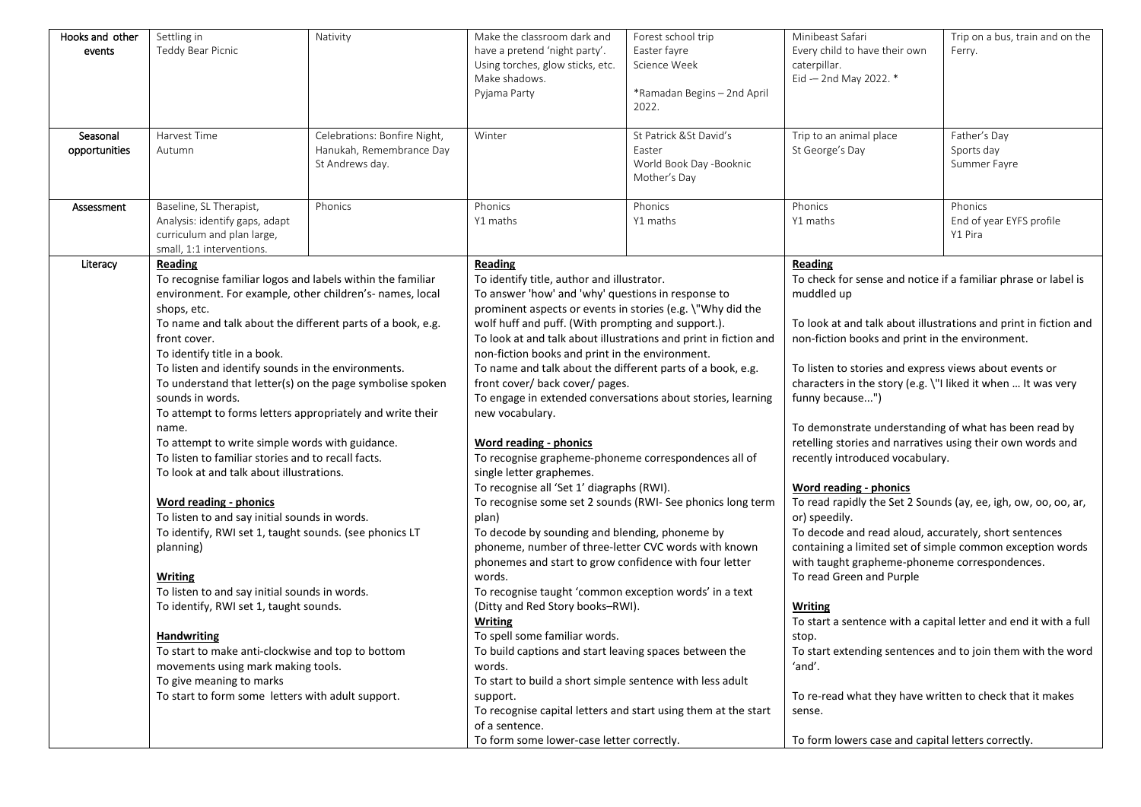| Hooks and other | Settling in                                                                                                            | Nativity                     | Make the classroom dark and                                      | Forest school trip          | Minibeast Safari                                                 | Trip on a bus, train and on the |
|-----------------|------------------------------------------------------------------------------------------------------------------------|------------------------------|------------------------------------------------------------------|-----------------------------|------------------------------------------------------------------|---------------------------------|
| events          | Teddy Bear Picnic                                                                                                      |                              | have a pretend 'night party'.                                    | Easter fayre                | Every child to have their own                                    | Ferry.                          |
|                 |                                                                                                                        |                              | Using torches, glow sticks, etc.                                 | Science Week                | caterpillar.                                                     |                                 |
|                 |                                                                                                                        |                              | Make shadows.                                                    |                             | Eid -- 2nd May 2022. *                                           |                                 |
|                 |                                                                                                                        |                              | Pyjama Party                                                     | *Ramadan Begins - 2nd April |                                                                  |                                 |
|                 |                                                                                                                        |                              |                                                                  | 2022.                       |                                                                  |                                 |
|                 |                                                                                                                        |                              |                                                                  |                             |                                                                  |                                 |
| Seasonal        | Harvest Time                                                                                                           | Celebrations: Bonfire Night, | Winter                                                           | St Patrick & St David's     | Trip to an animal place                                          | Father's Day                    |
| opportunities   | Autumn                                                                                                                 | Hanukah, Remembrance Day     |                                                                  | Easter                      | St George's Day                                                  | Sports day                      |
|                 |                                                                                                                        | St Andrews day.              |                                                                  | World Book Day -Booknic     |                                                                  | Summer Fayre                    |
|                 |                                                                                                                        |                              |                                                                  | Mother's Day                |                                                                  |                                 |
| Assessment      | Baseline, SL Therapist,                                                                                                | Phonics                      | Phonics                                                          | Phonics                     | Phonics                                                          | Phonics                         |
|                 | Analysis: identify gaps, adapt                                                                                         |                              | Y1 maths                                                         | Y1 maths                    | Y1 maths                                                         | End of year EYFS profile        |
|                 | curriculum and plan large,                                                                                             |                              |                                                                  |                             |                                                                  | Y1 Pira                         |
|                 | small, 1:1 interventions.                                                                                              |                              |                                                                  |                             |                                                                  |                                 |
| Literacy        | Reading                                                                                                                |                              | <b>Reading</b>                                                   |                             | Reading                                                          |                                 |
|                 |                                                                                                                        |                              | To identify title, author and illustrator.                       |                             | To check for sense and notice if a familiar phrase or label is   |                                 |
|                 | To recognise familiar logos and labels within the familiar<br>environment. For example, other children's- names, local |                              | To answer 'how' and 'why' questions in response to               |                             | muddled up                                                       |                                 |
|                 | shops, etc.                                                                                                            |                              | prominent aspects or events in stories (e.g. \"Why did the       |                             |                                                                  |                                 |
|                 | To name and talk about the different parts of a book, e.g.                                                             |                              | wolf huff and puff. (With prompting and support.).               |                             | To look at and talk about illustrations and print in fiction and |                                 |
|                 | front cover.                                                                                                           |                              | To look at and talk about illustrations and print in fiction and |                             | non-fiction books and print in the environment.                  |                                 |
|                 | To identify title in a book.                                                                                           |                              | non-fiction books and print in the environment.                  |                             |                                                                  |                                 |
|                 | To listen and identify sounds in the environments.                                                                     |                              | To name and talk about the different parts of a book, e.g.       |                             | To listen to stories and express views about events or           |                                 |
|                 | To understand that letter(s) on the page symbolise spoken                                                              |                              | front cover/ back cover/ pages.                                  |                             | characters in the story (e.g. \"I liked it when  It was very     |                                 |
|                 | sounds in words.                                                                                                       |                              | To engage in extended conversations about stories, learning      |                             | funny because")                                                  |                                 |
|                 | To attempt to forms letters appropriately and write their                                                              |                              | new vocabulary.                                                  |                             |                                                                  |                                 |
|                 | name.                                                                                                                  |                              |                                                                  |                             | To demonstrate understanding of what has been read by            |                                 |
|                 | To attempt to write simple words with guidance.                                                                        |                              | Word reading - phonics                                           |                             | retelling stories and narratives using their own words and       |                                 |
|                 | To listen to familiar stories and to recall facts.                                                                     |                              | To recognise grapheme-phoneme correspondences all of             |                             | recently introduced vocabulary.                                  |                                 |
|                 | To look at and talk about illustrations.                                                                               |                              | single letter graphemes.                                         |                             |                                                                  |                                 |
|                 |                                                                                                                        |                              | To recognise all 'Set 1' diagraphs (RWI).                        |                             | <b>Word reading - phonics</b>                                    |                                 |
|                 | <b>Word reading - phonics</b>                                                                                          |                              | To recognise some set 2 sounds (RWI- See phonics long term       |                             | To read rapidly the Set 2 Sounds (ay, ee, igh, ow, oo, oo, ar,   |                                 |
|                 | To listen to and say initial sounds in words.                                                                          |                              | plan)                                                            |                             | or) speedily.                                                    |                                 |
|                 | To identify, RWI set 1, taught sounds. (see phonics LT                                                                 |                              | To decode by sounding and blending, phoneme by                   |                             | To decode and read aloud, accurately, short sentences            |                                 |
|                 | planning)                                                                                                              |                              | phoneme, number of three-letter CVC words with known             |                             | containing a limited set of simple common exception words        |                                 |
|                 |                                                                                                                        |                              | phonemes and start to grow confidence with four letter           |                             | with taught grapheme-phoneme correspondences.                    |                                 |
|                 | <b>Writing</b>                                                                                                         |                              | words.                                                           |                             | To read Green and Purple                                         |                                 |
|                 | To listen to and say initial sounds in words.                                                                          |                              | To recognise taught 'common exception words' in a text           |                             |                                                                  |                                 |
|                 | To identify, RWI set 1, taught sounds.                                                                                 |                              | (Ditty and Red Story books-RWI).                                 |                             | Writing                                                          |                                 |
|                 |                                                                                                                        |                              | Writing                                                          |                             | To start a sentence with a capital letter and end it with a full |                                 |
|                 | <b>Handwriting</b>                                                                                                     |                              | To spell some familiar words.                                    |                             | stop.                                                            |                                 |
|                 | To start to make anti-clockwise and top to bottom                                                                      |                              | To build captions and start leaving spaces between the           |                             | To start extending sentences and to join them with the word      |                                 |
|                 | movements using mark making tools.                                                                                     |                              | words.                                                           |                             | 'and'.                                                           |                                 |
|                 | To give meaning to marks                                                                                               |                              | To start to build a short simple sentence with less adult        |                             |                                                                  |                                 |
|                 | To start to form some letters with adult support.                                                                      |                              | support.                                                         |                             | To re-read what they have written to check that it makes         |                                 |
|                 |                                                                                                                        |                              | To recognise capital letters and start using them at the start   |                             | sense.                                                           |                                 |
|                 |                                                                                                                        |                              | of a sentence.                                                   |                             |                                                                  |                                 |
|                 |                                                                                                                        |                              | To form some lower-case letter correctly.                        |                             | To form lowers case and capital letters correctly.               |                                 |